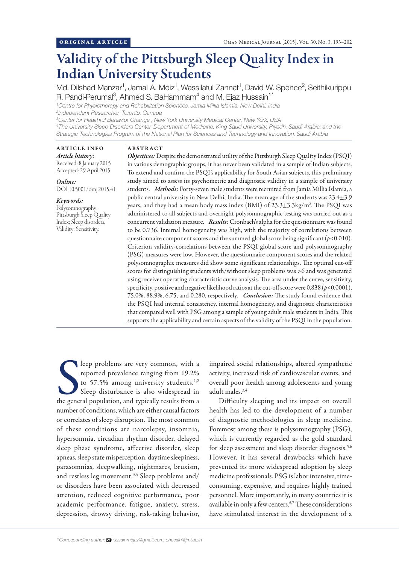# Validity of the Pittsburgh Sleep Quality Index in Indian University Students

Md. Dilshad Manzar<sup>1</sup>, Jamal A. Moiz<sup>1</sup>, Wassilatul Zannat<sup>1</sup>, David W. Spence<sup>2</sup>, Seithikurippu R. Pandi-Perumal<sup>3</sup>, Ahmed S. BaHammam<sup>4</sup> and M. Ejaz Hussain<sup>1\*</sup>

*1 Centre for Physiotherapy and Rehabilitation Sciences, Jamia Millia Islamia, New Delhi, India 2 Independent Researcher, Toronto, Canada*

*3 Center for Healthful Behavior Change , New York University Medical Center, New York, USA*

*4 The University Sleep Disorders Center, Department of Medicine, King Saud University, Riyadh, Saudi Arabia; and the Strategic Technologies Program of the National Plan for Sciences and Technology and Innovation, Saudi Arabia*

# ARTICLE INFO

*Article history:*  Received: 8 January 2015 Accepted: 29 April 2015

*Online:* DOI 10.5001/omj.2015.41

## *Keywords:*

Polysomnography; Pittsburgh Sleep Quality Index; Sleep disorders, Validity; Sensitivity.

# ABSTRACT

*Objectives:* Despite the demonstrated utility of the Pittsburgh Sleep Quality Index (PSQI) in various demographic groups, it has never been validated in a sample of Indian subjects. To extend and confirm the PSQI's applicability for South Asian subjects, this preliminary study aimed to assess its psychometric and diagnostic validity in a sample of university students. *Methods:* Forty-seven male students were recruited from Jamia Millia Islamia, a public central university in New Delhi, India. The mean age of the students was 23.4±3.9 years, and they had a mean body mass index (BMI) of 23.3±3.3kg/m². The PSQI was administered to all subjects and overnight polysomnographic testing was carried out as a concurrent validation measure. *Results:* Cronbach's alpha for the questionnaire was found to be 0.736. Internal homogeneity was high, with the majority of correlations between questionnaire component scores and the summed global score being significant (*p*<0.010). Criterion validity-correlations between the PSQI global score and polysomnography (PSG) measures were low. However, the questionnaire component scores and the related polysomnographic measures did show some significant relationships. The optimal cut-off scores for distinguishing students with/without sleep problems was >6 and was generated using receiver operating characteristic curve analysis. The area under the curve, sensitivity, specificity, positive and negative likelihood ratios at the cut-off score were  $0.838 (p<0.0001)$ , 75.0%, 88.9%, 6.75, and 0.280, respectively. *Conclusion:* The study found evidence that the PSQI had internal consistency, internal homogeneity, and diagnostic characteristics that compared well with PSG among a sample of young adult male students in India. This supports the applicability and certain aspects of the validity of the PSQI in the population.

leep problems are very common, with a reported prevalence ranging from 19.2% to 57.5% among university students.<sup>1,2</sup> Sleep disturbance is also widespread in the general population, and typically results from a leep problems are very common, with a reported prevalence ranging from 19.2% to 57.5% among university students.<sup>1,2</sup> Sleep disturbance is also widespread in number of conditions, which are either causal factors or correlates of sleep disruption. The most common of these conditions are narcolepsy, insomnia, hypersomnia, circadian rhythm disorder, delayed sleep phase syndrome, affective disorder, sleep apneas, sleep state misperception, daytime sleepiness, parasomnias, sleepwalking, nightmares, bruxism, and restless leg movement.<sup>3,4</sup> Sleep problems and/ or disorders have been associated with decreased attention, reduced cognitive performance, poor academic performance, fatigue, anxiety, stress, depression, drowsy driving, risk-taking behavior,

impaired social relationships, altered sympathetic activity, increased risk of cardiovascular events, and overall poor health among adolescents and young adult males.3,4

Difficulty sleeping and its impact on overall health has led to the development of a number of diagnostic methodologies in sleep medicine. Foremost among these is polysomnography (PSG), which is currently regarded as the gold standard for sleep assessment and sleep disorder diagnosis.<sup>5,6</sup> However, it has several drawbacks which have prevented its more widespread adoption by sleep medicine professionals. PSG is labor intensive, timeconsuming, expensive, and requires highly trained personnel. More importantly, in many countries it is available in only a few centers.6,7 These considerations have stimulated interest in the development of a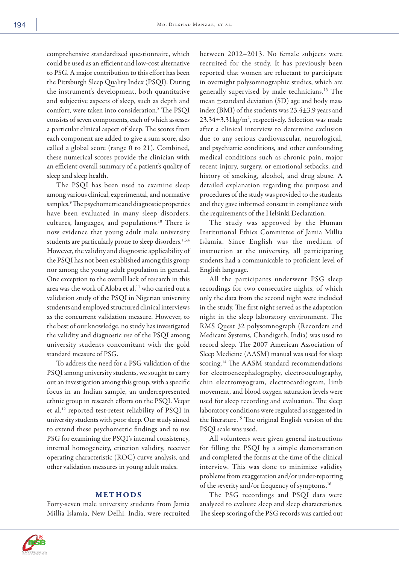comprehensive standardized questionnaire, which could be used as an efficient and low-cost alternative to PSG. A major contribution to this effort has been the Pittsburgh Sleep Quality Index (PSQI). During the instrument's development, both quantitative and subjective aspects of sleep, such as depth and comfort, were taken into consideration.8 The PSQI consists of seven components, each of which assesses a particular clinical aspect of sleep. The scores from each component are added to give a sum score, also called a global score (range 0 to 21). Combined, these numerical scores provide the clinician with an efficient overall summary of a patient's quality of sleep and sleep health.

The PSQI has been used to examine sleep among various clinical, experimental, and normative samples.<sup>9</sup> The psychometric and diagnostic properties have been evaluated in many sleep disorders, cultures, languages, and populations.10 There is now evidence that young adult male university students are particularly prone to sleep disorders.<sup>1,3,4</sup> However, the validity and diagnostic applicability of the PSQI has not been established among this group nor among the young adult population in general. One exception to the overall lack of research in this area was the work of Aloba et al,<sup>11</sup> who carried out a validation study of the PSQI in Nigerian university students and employed structured clinical interviews as the concurrent validation measure. However, to the best of our knowledge, no study has investigated the validity and diagnostic use of the PSQI among university students concomitant with the gold standard measure of PSG.

To address the need for a PSG validation of the PSQI among university students, we sought to carry out an investigation among this group, with a specific focus in an Indian sample, an underrepresented ethnic group in research efforts on the PSQI. Veqar et al,12 reported test-retest reliability of PSQI in university students with poor sleep. Our study aimed to extend these psychometric findings and to use PSG for examining the PSQI's internal consistency, internal homogeneity, criterion validity, receiver operating characteristic (ROC) curve analysis, and other validation measures in young adult males.

### METHODS

Forty-seven male university students from Jamia Millia Islamia, New Delhi, India, were recruited between 2012–2013. No female subjects were recruited for the study. It has previously been reported that women are reluctant to participate in overnight polysomnographic studies, which are generally supervised by male technicians.13 The mean ±standard deviation (SD) age and body mass index (BMI) of the students was 23.4±3.9 years and 23.34±3.31kg/m<sup>2</sup>, respectively. Selection was made after a clinical interview to determine exclusion due to any serious cardiovascular, neurological, and psychiatric conditions, and other confounding medical conditions such as chronic pain, major recent injury, surgery, or emotional setbacks, and history of smoking, alcohol, and drug abuse. A detailed explanation regarding the purpose and procedures of the study was provided to the students and they gave informed consent in compliance with the requirements of the Helsinki Declaration.

The study was approved by the Human Institutional Ethics Committee of Jamia Millia Islamia. Since English was the medium of instruction at the university, all participating students had a communicable to proficient level of English language.

All the participants underwent PSG sleep recordings for two consecutive nights, of which only the data from the second night were included in the study. The first night served as the adaptation night in the sleep laboratory environment. The RMS Quest 32 polysomnograph (Recorders and Medicare Systems, Chandigarh, India) was used to record sleep. The 2007 American Association of Sleep Medicine (AASM) manual was used for sleep scoring.<sup>14</sup> The AASM standard recommendations for electroencephalography, electrooculography, chin electromyogram, electrocardiogram, limb movement, and blood oxygen saturation levels were used for sleep recording and evaluation. The sleep laboratory conditions were regulated as suggested in the literature.15 The original English version of the PSQI scale was used.

All volunteers were given general instructions for filling the PSQI by a simple demonstration and completed the forms at the time of the clinical interview. This was done to minimize validity problems from exaggeration and/or under-reporting of the severity and/or frequency of symptoms.16

The PSG recordings and PSQI data were analyzed to evaluate sleep and sleep characteristics. The sleep scoring of the PSG records was carried out

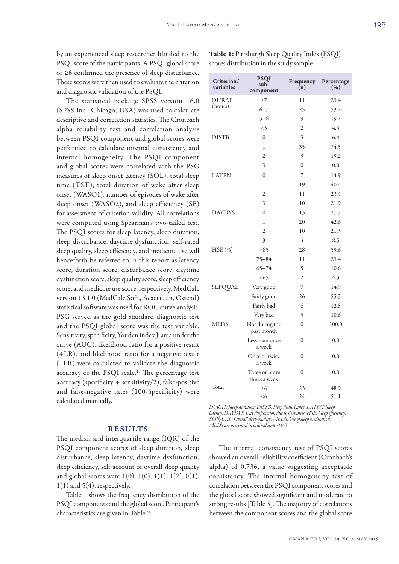by an experienced sleep researcher blinded to the PSQI score of the participants. A PSQI global score of ≥6 confirmed the presence of sleep disturbance. These scores were then used to evaluate the criterion and diagnostic validation of the PSQI.

The statistical package SPSS version 16.0 (SPSS Inc., Chicago, USA) was used to calculate descriptive and correlation statistics. The Cronbach alpha reliability test and correlation analysis between PSQI component and global scores were performed to calculate internal consistency and internal homogeneity. The PSQI component and global scores were correlated with the PSG measures of sleep onset latency (SOL), total sleep time (TST), total duration of wake after sleep onset (WASO1), number of episodes of wake after sleep onset (WASO2), and sleep efficiency (SE) for assessment of criterion validity. All correlations were computed using Spearman's two-tailed test. The PSQI scores for sleep latency, sleep duration, sleep disturbance, daytime dysfunction, self-rated sleep quality, sleep efficiency, and medicine use will henceforth be referred to in this report as latency score, duration score, disturbance score, daytime dysfunction score, sleep quality score, sleep efficiency score, and medicine use score, respectively. MedCalc version 13.1.0 (MedCalc Soft., Acacialaan, Ostend) statistical software was used for ROC curve analysis. PSG served as the gold standard diagnostic test and the PSQI global score was the test variable. Sensitivity, specificity, Youden index J, area under the curve (AUC), likelihood ratio for a positive result (+LR), and likelihood ratio for a negative result (–LR) were calculated to validate the diagnostic accuracy of the PSQI scale.<sup>17</sup> The percentage test  $accuracy$  (specificity + sensitivity/2), false-positive and false-negative rates (100-Specificity) were calculated manually.

# RESULTS

The median and interquartile range (IQR) of the PSQI component scores of sleep duration, sleep disturbance, sleep latency, daytime dysfunction, sleep efficiency, self-account of overall sleep quality and global scores were  $1(0)$ ,  $1(0)$ ,  $1(1)$ ,  $1(2)$ ,  $0(1)$ ,  $1(1)$  and  $5(4)$ , respectively.

Table 1 shows the frequency distribution of the PSQI components and the global score. Participant's characteristics are given in Table 2.

Table 1: Pittsburgh Sleep Quality Index (PSQI) scores distribution in the study sample.

| Criterion/<br>variables | <b>PSQI</b><br>sub-<br>component | Frequency<br>(n) | Percentage<br>(% ) |
|-------------------------|----------------------------------|------------------|--------------------|
| <b>DURAT</b>            | $\geq$ 7                         | 11               | 23.4               |
| (hours)                 | $6 - 7$                          | 25               | 53.2               |
|                         | $5 - 6$                          | 9                | 19.2               |
|                         | $\leq$ 5                         | $\overline{2}$   | 4.3                |
| <b>DISTB</b>            | $\mathbf{0}$                     | 3                | 6.4                |
|                         | 1                                | 35               | 74.5               |
|                         | $\overline{2}$                   | 9                | 19.2               |
|                         | 3                                | $\theta$         | 0.0                |
| <b>LATEN</b>            | $\mathbf{0}$                     | 7                | 14.9               |
|                         | $\mathbf{1}$                     | 19               | 40.4               |
|                         | $\overline{2}$                   | 11               | 23.4               |
|                         | 3                                | 10               | 21.9               |
| <b>DAYDYS</b>           | $\theta$                         | 13               | 27.7               |
|                         | 1                                | 20               | 42.6               |
|                         | $\overline{2}$                   | 10               | 21.3               |
|                         | 3                                | $\overline{4}$   | 8.5                |
| HSE (%)                 | >85                              | 28               | 59.6               |
|                         | $75 - 84$                        | 11               | 23.4               |
|                         | $65 - 74$                        | 5                | 10.6               |
|                         | <65                              | $\mathfrak{2}$   | 4.3                |
| SLPQUAL                 | Very good                        | 7                | 14.9               |
|                         | Fairly good                      | 26               | 55.3               |
|                         | Fairly bad                       | 6                | 12.8               |
|                         | Very bad                         | 5                | 10.6               |
| <b>MEDS</b>             | Not during the<br>past month     | $\mathbf{0}$     | 100.0              |
|                         | Less than once<br>a week         | $\theta$         | 0.0                |
|                         | Once or twice<br>a week          | $\theta$         | 0.0                |
|                         | Three or more<br>times a week    | $\mathbf{0}$     | 0.0                |
| Total                   | $\geq 6$                         | 23               | 48.9               |
|                         | <6                               | 24               | 51.1               |

*DURAT: Sleep duration; DISTB: Sleep disturbance; LATEN: Sleep latency; DAYDYS: Day dysfunction due to sleepiness; HSE: Sleep efficiency; SLPQUAL: Overall sleep quality; MEDS: Use of sleep medication. MEDS are presented in ordinal scale of 0-3*

The internal consistency test of PSQI scores showed an overall reliability coefficient (Cronbach's alpha) of 0.736, a value suggesting acceptable consistency. The internal homogeneity test of correlation between the PSQI component scores and the global score showed significant and moderate to strong results [Table 3]. The majority of correlations between the component scores and the global score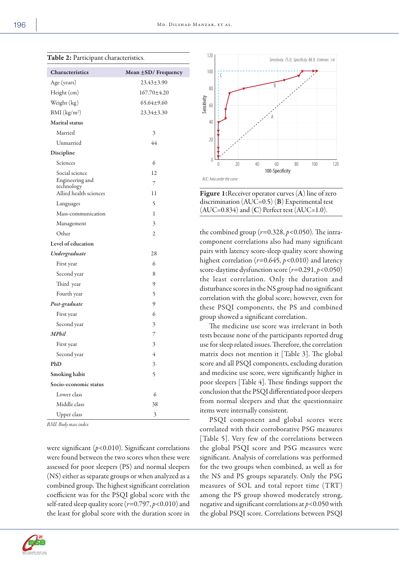| Characteristics               | Mean $\pm$ SD/Frequency |
|-------------------------------|-------------------------|
| Age (years)                   | $23.43 \pm 3.90$        |
| Height (cm)                   | 167.70±4.20             |
| Weight (kg)                   | $65.64 + 9.60$          |
| BMI (kg/m <sup>2</sup> )      | $23.34 \pm 3.30$        |
| <b>Marital</b> status         |                         |
| Married                       | 3                       |
| Unmarried                     | 44                      |
| Discipline                    |                         |
| Sciences                      | 6                       |
| Social science                | 12                      |
| Engineering and<br>technology | 7                       |
| Allied health sciences        | 11                      |
| Languages                     | 5                       |
| Mass-communication            | 1                       |
| Management                    | 3                       |
| Other                         | 2                       |
| Level of education            |                         |
| Undergraduate                 | 28                      |
| First year                    | 6                       |
| Second year                   | 8                       |
| Third year                    | 9                       |
| Fourth year                   | 5                       |
| Post-graduate                 | 9                       |
| First year                    | 6                       |
| Second year                   | 3                       |
| MPhil                         | 7                       |
| First year                    | 3                       |
| Second year                   | 4                       |
| PhD                           | 3                       |
| Smoking habit                 | 5                       |
| Socio-economic status         |                         |
| Lower class                   | 6                       |
| Middle class                  | 38                      |
| <b>Upper</b> class            | 3                       |

*BMI: Body mass index*

were significant (*p*<0.010). Significant correlations were found between the two scores when these were assessed for poor sleepers (PS) and normal sleepers (NS) either as separate groups or when analyzed as a combined group. The highest significant correlation coefficient was for the PSQI global score with the self-rated sleep quality score (*r*=0.797, *p*<0.010) and the least for global score with the duration score in





Figure 1: Receiver operator curves (A) line of zero discrimination (AUC=0.5) (B) Experimental test  $(AUC=0.834)$  and  $(C)$  Perfect test  $(AUC=1.0)$ .

the combined group  $(r=0.328, p<0.050)$ . The intracomponent correlations also had many significant pairs with latency score-sleep quality score showing highest correlation  $(r=0.645, p<0.010)$  and latency score-daytime dysfunction score (*r*=0.291, *p*<0.050) the least correlation. Only the duration and disturbance scores in the NS group had no significant correlation with the global score; however, even for these PSQI components, the PS and combined group showed a significant correlation.

The medicine use score was irrelevant in both tests because none of the participants reported drug use for sleep related issues. Therefore, the correlation matrix does not mention it [Table 3]. The global score and all PSQI components, excluding duration and medicine use score, were significantly higher in poor sleepers [Table 4]. These findings support the conclusion that the PSQI differentiated poor sleepers from normal sleepers and that the questionnaire items were internally consistent.

PSQI component and global scores were correlated with their corroborative PSG measures [Table 5]. Very few of the correlations between the global PSQI score and PSG measures were significant. Analysis of correlations was performed for the two groups when combined, as well as for the NS and PS groups separately. Only the PSG measures of SOL and total report time (TRT) among the PS group showed moderately strong, negative and significant correlations at *p*<0.050 with the global PSQI score. Correlations between PSQI

Table 2: Participant characteristics.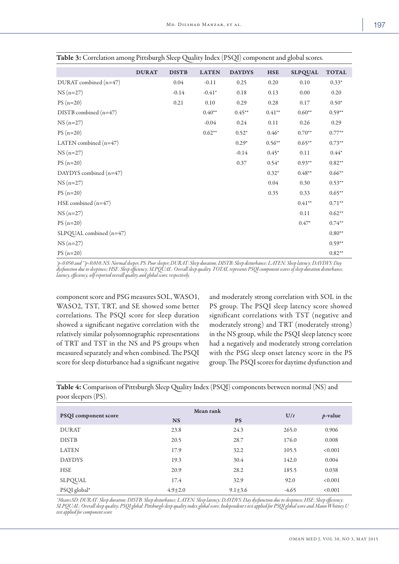|                         | <b>DURAT</b> | <b>DISTB</b> | <b>LATEN</b> | <b>DAYDYS</b> | <b>HSE</b> | <b>SLPQUAL</b> | <b>TOTAL</b> |
|-------------------------|--------------|--------------|--------------|---------------|------------|----------------|--------------|
| DURAT combined (n=47)   |              | 0.04         | $-0.11$      | 0.25          | 0.20       | 0.10           | $0.33*$      |
| $NS(n=27)$              |              | $-0.14$      | $-0.41*$     | 0.18          | 0.13       | 0.00           | 0.20         |
| $PS(n=20)$              |              | 0.21         | 0.10         | 0.29          | 0.28       | 0.17           | $0.50*$      |
| DISTB combined $(n=47)$ |              |              | $0.40**$     | $0.45**$      | $0.41**$   | $0.60**$       | $0.59**$     |
| $NS(n=27)$              |              |              | $-0.04$      | 0.24          | 0.11       | 0.26           | 0.29         |
| $PS(n=20)$              |              |              | $0.62**$     | $0.52*$       | $0.46*$    | $0.70**$       | $0.77**$     |
| LATEN combined $(n=47)$ |              |              |              | $0.29*$       | $0.56**$   | $0.65***$      | $0.73**$     |
| $NS(n=27)$              |              |              |              | $-0.14$       | $0.45*$    | 0.11           | $0.44*$      |
| $PS(n=20)$              |              |              |              | 0.37          | $0.54*$    | $0.93**$       | $0.82**$     |
| DAYDYS combined (n=47)  |              |              |              |               | $0.32*$    | $0.48**$       | $0.66**$     |
| $NS(n=27)$              |              |              |              |               | 0.04       | 0.30           | $0.53**$     |
| $PS(n=20)$              |              |              |              |               | 0.35       | 0.33           | $0.65***$    |
| HSE combined $(n=47)$   |              |              |              |               |            | $0.41**$       | $0.71**$     |
| $NS(n=27)$              |              |              |              |               |            | 0.11           | $0.62**$     |
| $PS(n=20)$              |              |              |              |               |            | $0.47*$        | $0.74**$     |
| SLPQUAL combined (n=47) |              |              |              |               |            |                | $0.80**$     |
| $NS(n=27)$              |              |              |              |               |            |                | $0.59**$     |
| $PS(n=20)$              |              |              |              |               |            |                | $0.82**$     |

Table 3: Correlation among Pittsburgh Sleep Quality Index (PSQI) component and global scores.

*\*p<0.050 and \*\*p<0.010; NS: Normal sleeper, PS: Poor sleeper, DURAT: Sleep duration; DISTB: Sleep disturbance; LATEN: Sleep latency; DAYDYS: Day dysfunction due to sleepiness; HSE: Sleep efficiency; SLPQUAL: Overall sleep quality. TOTAL represents PSQI component scores of sleep duration disturbance, latency, efficiency, self-reported overall quality and global score, respectively.*

component score and PSG measures SOL, WASO1, WASO2, TST, TRT, and SE showed some better correlations. The PSQI score for sleep duration showed a significant negative correlation with the relatively similar polysomnographic representations of TRT and TST in the NS and PS groups when measured separately and when combined. The PSQI score for sleep disturbance had a significant negative

and moderately strong correlation with SOL in the PS group. The PSQI sleep latency score showed significant correlations with TST (negative and moderately strong) and TRT (moderately strong) in the NS group, while the PSQI sleep latency score had a negatively and moderately strong correlation with the PSG sleep onset latency score in the PS group. The PSQI scores for daytime dysfunction and

Table 4: Comparison of Pittsburgh Sleep Quality Index (PSQI) components between normal (NS) and poor sleepers (PS).

|                             | Mean rank     |               |         |            |
|-----------------------------|---------------|---------------|---------|------------|
| <b>PSQI</b> component score | <b>NS</b>     | <b>PS</b>     | U/t     | $p$ -value |
| <b>DURAT</b>                | 23.8          | 24.3          | 265.0   | 0.906      |
| <b>DISTB</b>                | 20.5          | 28.7          | 176.0   | 0.008      |
| <b>LATEN</b>                | 17.9          | 32.2          | 105.5   | < 0.001    |
| <b>DAYDYS</b>               | 19.3          | 30.4          | 142.0   | 0.004      |
| <b>HSE</b>                  | 20.9          | 28.2          | 185.5   | 0.038      |
| SLPQUAL                     | 17.4          | 32.9          | 92.0    | < 0.001    |
| PSQI global*                | $4.9 \pm 2.0$ | $9.1 \pm 3.6$ | $-4.65$ | < 0.001    |

*\*Mean±SD; DURAT: Sleep duration; DISTB: Sleep disturbance; LATEN: Sleep latency; DAYDYS: Day dysfunction due to sleepiness; HSE: Sleep efficiency; SLPQUAL: Overall sleep quality; PSQI global: Pittsburgh sleep quality index global score; Independent t-test applied for PSQI global score and Mann Whitney U test applied for component score*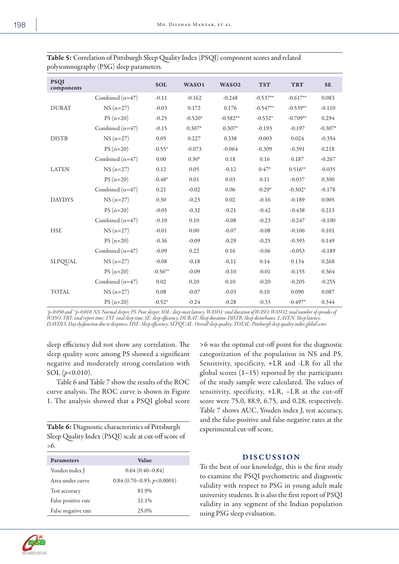| ٦<br>۰.<br>×<br>u, |  |
|--------------------|--|
|                    |  |

|                           | $\mathbf{r}$ , and a set of $\mathbf{S}$ and $\mathbf{r}$ and $\mathbf{r}$ are a set of $\mathbf{r}$ in the set of $\mathbf{r}$ |            |           |                   |            |            |           |
|---------------------------|---------------------------------------------------------------------------------------------------------------------------------|------------|-----------|-------------------|------------|------------|-----------|
| <b>PSQI</b><br>components |                                                                                                                                 | <b>SOL</b> | WASO1     | WASO <sub>2</sub> | <b>TST</b> | <b>TRT</b> | <b>SE</b> |
|                           | Combined (n=47)                                                                                                                 | $-0.11$    | $-0.162$  | $-0.248$          | $-0.537**$ | $-0.617**$ | 0.083     |
| <b>DURAT</b>              | $NS(n=27)$                                                                                                                      | $-0.03$    | 0.172     | 0.176             | $-0.547**$ | $-0.539**$ | $-0.110$  |
|                           | $PS(n=20)$                                                                                                                      | $-0.25$    | $-0.520*$ | $-0.582**$        | $-0.532*$  | $-0.709**$ | 0.294     |
|                           | Combined $(n=47)$                                                                                                               | $-0.15$    | $0.307*$  | $0.307*$          | $-0.193$   | $-0.197$   | $-0.307*$ |
| <b>DISTB</b>              | $NS(n=27)$                                                                                                                      | 0.05       | 0.227     | 0.338             | $-0.003$   | 0.024      | $-0.354$  |
|                           | $PS(n=20)$                                                                                                                      | $-0.55*$   | $-0.073$  | $-0.064$          | $-0.309$   | $-0.391$   | 0.218     |
|                           | Combined (n=47)                                                                                                                 | 0.00       | $0.30*$   | 0.18              | 0.16       | 0.187      | $-0.267$  |
| <b>LATEN</b>              | $NS(n=27)$                                                                                                                      | 0.12       | 0.05      | $-0.12$           | $0.47*$    | $0.516**$  | $-0.035$  |
|                           | $PS(n=20)$                                                                                                                      | $-0.48*$   | 0.01      | 0.03              | 0.11       | $-0.037$   | 0.300     |
|                           | Combined (n=47)                                                                                                                 | 0.21       | $-0.02$   | $0.06\,$          | $-0.29*$   | $-0.302*$  | $-0.178$  |
| <b>DAYDYS</b>             | $NS(n=27)$                                                                                                                      | 0.30       | $-0.23$   | 0.02              | $-0.16$    | $-0.189$   | 0.005     |
|                           | $PS(n=20)$                                                                                                                      | $-0.05$    | $-0.32$   | $-0.21$           | $-0.42$    | $-0.438$   | 0.213     |
|                           | Combined $(n=47)$                                                                                                               | $-0.10$    | 0.10      | $-0.08$           | $-0.23$    | $-0.247$   | $-0.100$  |
| <b>HSE</b>                | $NS(n=27)$                                                                                                                      | $-0.01$    | 0.00      | $-0.07$           | $-0.08$    | $-0.106$   | 0.101     |
|                           | $PS(n=20)$                                                                                                                      | $-0.36$    | $-0.09$   | $-0.29$           | $-0.25$    | $-0.393$   | 0.149     |
|                           | Combined $(n=47)$                                                                                                               | $-0.09$    | 0.22      | 0.16              | $-0.06$    | $-0.053$   | $-0.189$  |
| SLPQUAL                   | $NS(n=27)$                                                                                                                      | $-0.08$    | $-0.18$   | $-0.11$           | 0.14       | 0.134      | 0.268     |
|                           | $PS(n=20)$                                                                                                                      | $-0.56**$  | $-0.09$   | $-0.10$           | $-0.01$    | $-0.155$   | 0.364     |
| TOTAL                     | Combined (n=47)                                                                                                                 | 0.02       | 0.20      | 0.10              | $-0.20$    | $-0.205$   | $-0.255$  |
|                           | $NS(n=27)$                                                                                                                      | 0.08       | $-0.07$   | $-0.03$           | 0.10       | 0.090      | 0.087     |
|                           | $PS(n=20)$                                                                                                                      | $-0.52*$   | $-0.24$   | $-0.28$           | $-0.33$    | $-0.497*$  | 0.344     |

Table 5: Correlation of Pittsburgh Sleep Quality Index (PSQI) component scores and related polysomnography (PSG) sleep parameters.

*\*p<0.050 and \*\*p<0.010; NS: Normal sleeper, PS: Poor sleeper, SOL: sleep onset latency; WASO1: total duration of WASO; WASO2: total number of episodes of WASO; TRT: total report time; TST: total sleep time; SE: sleep efficiency; DURAT: Sleep duration; DISTB: Sleep disturbance; LATEN: Sleep latency; DAYDYS: Day dysfunction due to sleepiness; HSE: Sleep efficiency; SLPQUAL: Overall sleep quality; TOTAL: Pittsburgh sleep quality index global score.*

sleep efficiency did not show any correlation. The sleep quality score among PS showed a significant negative and moderately strong correlation with SOL (*p*<0.010).

Table 6 and Table 7 show the results of the ROC curve analysis. The ROC curve is shown in Figure 1. The analysis showed that a PSQI global score

| Table 6: Diagnostic characteristics of Pittsburgh    |
|------------------------------------------------------|
| Sleep Quality Index (PSQI) scale at cut-off score of |
| >6.                                                  |

| <b>Parameters</b>   | Value                       |
|---------------------|-----------------------------|
| Youden index J      | $0.64(0.40 - 0.84)$         |
| Area under curve    | $0.84(0.70-0.93; p<0.0001)$ |
| Test accuracy       | 81.9%                       |
| False positive rate | 11.1%                       |
| False negative rate | 25.0%                       |

>6 was the optimal cut-off point for the diagnostic categorization of the population in NS and PS. Sensitivity, specificity, +LR and -LR for all the global scores (1–15) reported by the participants of the study sample were calculated. The values of sensitivity, specificity, +LR, –LR at the cut-off score were 75.0, 88.9, 6.75, and 0.28, respectively. Table 7 shows AUC, Youden index J, test accuracy, and the false-positive and false-negative rates at the experimental cut-off score.

# DISCUSSION

To the best of our knowledge, this is the first study to examine the PSQI psychometric and diagnostic validity with respect to PSG in young adult male university students. It is also the first report of PSQI validity in any segment of the Indian population using PSG sleep evaluation.

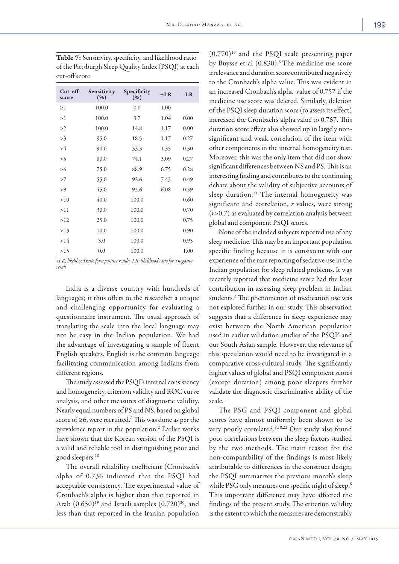| Cut-off<br>score | Sensitivity<br>(% ) | Specificity<br>(% ) | $+LR$ | -LR  |
|------------------|---------------------|---------------------|-------|------|
| $\geq$ 1         | 100.0               | 0.0                 | 1.00  |      |
| >1               | 100.0               | 3.7                 | 1.04  | 0.00 |
| >2               | 100.0               | 14.8                | 1.17  | 0.00 |
| >3               | 95.0                | 18.5                | 1.17  | 0.27 |
| >4               | 90.0                | 33.3                | 1.35  | 0.30 |
| >5               | 80.0                | 74.1                | 3.09  | 0.27 |
| > 6              | 75.0                | 88.9                | 6.75  | 0.28 |
| >7               | 55.0                | 92.6                | 7.43  | 0.49 |
| >9               | 45.0                | 92.6                | 6.08  | 0.59 |
| >10              | 40.0                | 100.0               |       | 0.60 |
| >11              | 30.0                | 100.0               |       | 0.70 |
| >12              | 25.0                | 100.0               |       | 0.75 |
| >13              | 10.0                | 100.0               |       | 0.90 |
| >14              | 5.0                 | 100.0               |       | 0.95 |
| >15              | 0.0                 | 100.0               |       | 1.00 |

Table 7: Sensitivity, specificity, and likelihood ratio of the Pittsburgh Sleep Quality Index (PSQI) at each cut-off score.

*+LR: likelihood ratio for a positive result; -LR: likelihood ratio for a negative result*

India is a diverse country with hundreds of languages; it thus offers to the researcher a unique and challenging opportunity for evaluating a questionnaire instrument. The usual approach of translating the scale into the local language may not be easy in the Indian population. We had the advantage of investigating a sample of fluent English speakers. English is the common language facilitating communication among Indians from different regions.

The study assessed the PSQI's internal consistency and homogeneity, criterion validity and ROC curve analysis, and other measures of diagnostic validity. Nearly equal numbers of PS and NS, based on global score of  $\geq$ 6, were recruited.<sup>8</sup> This was done as per the prevalence report in the population.<sup>2</sup> Earlier works have shown that the Korean version of the PSQI is a valid and reliable tool in distinguishing poor and good sleepers.18

The overall reliability coefficient (Cronbach's alpha of 0.736 indicated that the PSQI had acceptable consistency. The experimental value of Cronbach's alpha is higher than that reported in Arab  $(0.650)^{19}$  and Israeli samples  $(0.720)^{20}$ , and less than that reported in the Iranian population

 $(0.770)^{10}$  and the PSQI scale presenting paper by Buysse et al (0.830).<sup>8</sup> The medicine use score irrelevance and duration score contributed negatively to the Cronbach's alpha value. This was evident in an increased Cronbach's alpha value of 0.757 if the medicine use score was deleted. Similarly, deletion of the PSQI sleep duration score (to assess its effect) increased the Cronbach's alpha value to 0.767. This duration score effect also showed up in largely nonsignificant and weak correlation of the item with other components in the internal homogeneity test. Moreover, this was the only item that did not show significant differences between NS and PS. This is an interesting finding and contributes to the continuing debate about the validity of subjective accounts of sleep duration.<sup>21</sup> The internal homogeneity was significant and correlation, *r* values, were strong (*r*>0.7) as evaluated by correlation analysis between global and component PSQI scores.

None of the included subjects reported use of any sleep medicine. This may be an important population specific finding because it is consistent with our experience of the rare reporting of sedative use in the Indian population for sleep related problems. It was recently reported that medicine score had the least contribution in assessing sleep problem in Indian students.2 The phenomenon of medication use was not explored further in our study. This observation suggests that a difference in sleep experience may exist between the North American population used in earlier validation studies of the PSQI<sup>8</sup> and our South Asian sample. However, the relevance of this speculation would need to be investigated in a comparative cross-cultural study. The significantly higher values of global and PSQI component scores (except duration) among poor sleepers further validate the diagnostic discriminative ability of the scale.

The PSG and PSQI component and global scores have almost uniformly been shown to be very poorly correlated.8,18,22 Our study also found poor correlations between the sleep factors studied by the two methods. The main reason for the non-comparability of the findings is most likely attributable to differences in the construct design; the PSQI summarizes the previous month's sleep while PSG only measures one specific night of sleep.<sup>8</sup> This important difference may have affected the findings of the present study. The criterion validity is the extent to which the measures are demonstrably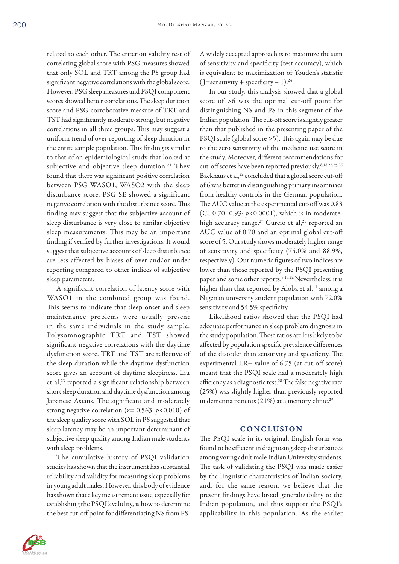related to each other. The criterion validity test of correlating global score with PSG measures showed that only SOL and TRT among the PS group had significant negative correlations with the global score. However, PSG sleep measures and PSQI component scores showed better correlations. The sleep duration score and PSG corroborative measure of TRT and TST had significantly moderate-strong, but negative correlations in all three groups. This may suggest a uniform trend of over-reporting of sleep duration in the entire sample population. This finding is similar to that of an epidemiological study that looked at subjective and objective sleep duration.<sup>21</sup> They found that there was significant positive correlation between PSG WASO1, WASO2 with the sleep disturbance score. PSG SE showed a significant negative correlation with the disturbance score. This finding may suggest that the subjective account of sleep disturbance is very close to similar objective sleep measurements. This may be an important finding if verified by further investigations. It would suggest that subjective accounts of sleep disturbance are less affected by biases of over and/or under reporting compared to other indices of subjective sleep parameters.

A significant correlation of latency score with WASO1 in the combined group was found. This seems to indicate that sleep onset and sleep maintenance problems were usually present in the same individuals in the study sample. Polysomnographic TRT and TST showed significant negative correlations with the daytime dysfunction score. TRT and TST are reflective of the sleep duration while the daytime dysfunction score gives an account of daytime sleepiness. Liu et al,23 reported a significant relationship between short sleep duration and daytime dysfunction among Japanese Asians. The significant and moderately strong negative correlation (*r*=-0.563, *p*<0.010) of the sleep quality score with SOL in PS suggested that sleep latency may be an important determinant of subjective sleep quality among Indian male students with sleep problems.

The cumulative history of PSQI validation studies has shown that the instrument has substantial reliability and validity for measuring sleep problems in young adult males. However, this body of evidence has shown that a key measurement issue, especially for establishing the PSQI's validity, is how to determine the best cut-off point for differentiating NS from PS. A widely accepted approach is to maximize the sum of sensitivity and specificity (test accuracy), which is equivalent to maximization of Youden's statistic  $(J=$ sensitivity + specificity – 1).<sup>24</sup>

In our study, this analysis showed that a global score of >6 was the optimal cut-off point for distinguishing NS and PS in this segment of the Indian population. The cut-off score is slightly greater than that published in the presenting paper of the PSQI scale (global score >5). This again may be due to the zero sensitivity of the medicine use score in the study. Moreover, different recommendations for cut-off scores have been reported previously.8,18,22,25,26 Backhaus et al,<sup>22</sup> concluded that a global score cut-off of 6 was better in distinguishing primary insomniacs from healthy controls in the German population. The AUC value at the experimental cut-off was 0.83 (CI 0.70–0.93; *p*<0.0001), which is in moderatehigh accuracy range.<sup>27</sup> Curcio et al,<sup>25</sup> reported an AUC value of 0.70 and an optimal global cut-off score of 5. Our study shows moderately higher range of sensitivity and specificity (75.0% and 88.9%, respectively). Our numeric figures of two indices are lower than those reported by the PSQI presenting paper and some other reports.<sup>8,18,22</sup> Nevertheless, it is higher than that reported by Aloba et al,<sup>11</sup> among a Nigerian university student population with 72.0% sensitivity and 54.5% specificity.

Likelihood ratios showed that the PSQI had adequate performance in sleep problem diagnosis in the study population. These ratios are less likely to be affected by population specific prevalence differences of the disorder than sensitivity and specificity. The experimental LR+ value of 6.75 (at cut-off score) meant that the PSQI scale had a moderately high efficiency as a diagnostic test.<sup>28</sup> The false negative rate (25%) was slightly higher than previously reported in dementia patients  $(21%)$  at a memory clinic.<sup>29</sup>

# **CONCLUSION**

The PSQI scale in its original, English form was found to be efficient in diagnosing sleep disturbances among young adult male Indian University students. The task of validating the PSQI was made easier by the linguistic characteristics of Indian society, and, for the same reason, we believe that the present findings have broad generalizability to the Indian population, and thus support the PSQI's applicability in this population. As the earlier

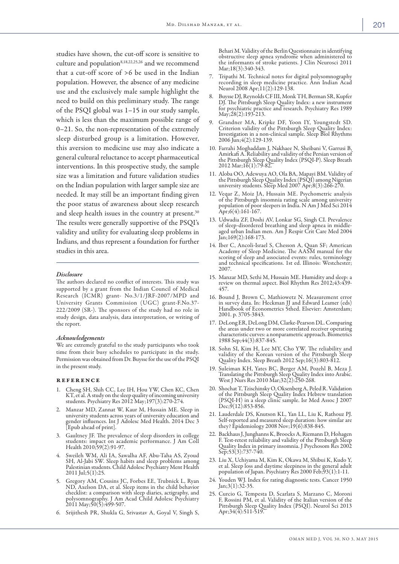studies have shown, the cut-off score is sensitive to culture and population<sup>8,18,22,25,26</sup> and we recommend that a cut-off score of >6 be used in the Indian population. However, the absence of any medicine use and the exclusively male sample highlight the need to build on this preliminary study. The range of the PSQI global was 1–15 in our study sample, which is less than the maximum possible range of 0–21. So, the non-representation of the extremely sleep disturbed group is a limitation. However, this aversion to medicine use may also indicate a general cultural reluctance to accept pharmaceutical interventions. In this prospective study, the sample size was a limitation and future validation studies on the Indian population with larger sample size are needed. It may still be an important finding given the poor status of awareness about sleep research and sleep health issues in the country at present.<sup>30</sup> The results were generally supportive of the PSQI's validity and utility for evaluating sleep problems in Indians, and thus represent a foundation for further studies in this area.

#### *Disclosure*

The authors declared no conflict of interests. This study was supported by a grant from the Indian Council of Medical Research (ICMR) grant- No.3/1/JRF-2007/MPD and University Grants Commission (UGC) grant-F.No.37- 222/2009 (SR-). The sponsors of the study had no role in study design, data analysis, data interpretation, or writing of the report.

#### *Acknowledgements*

We are extremely grateful to the study participants who took time from their busy schedules to participate in the study. Permission was obtained from Dr. Buysse for the use of the PSQI in the present study.

#### **REFERENCE**

- 1. Cheng SH, Shih CC, Lee IH, Hou YW, Chen KC, Chen KT, et al. A study on the sleep quality of incoming university students. Psychiatry Res 2012 May;197(3):270-274.
- 2. Manzar MD, Zannat W, Kaur M, Hussain ME. Sleep in university students across years of university education and gender influences. Int J Adolesc Med Health. 2014 Dec 3 [Epub ahead of print].
- 3. Gaultney JF. The prevalence of sleep disorders in college students: impact on academic performance. J Am Coll Health 2010;59(2):91-97.
- 4. Sweileh WM, Ali IA, Sawalha AF, Abu-Taha AS, Zyoud SH, Al-Jabi SW. Sleep habits and sleep problems among Palestinian students. Child Adolesc Psychiatry Ment Health 2011 Jul;5(1):25.
- 5. Gregory AM, Cousins JC, Forbes EE, Trubnick L, Ryan ND, Axelson DA, et al. Sleep items in the child behavior checklist: a comparison with sleep diaries, actigraphy, and polysomnography. J Am Acad Child Adolesc Psychiatry 2011 May;50(5):499-507.
- 6. Srijithesh PR, Shukla G, Srivastav A, Goyal V, Singh S,

Behari M. Validity of the Berlin Questionnaire in identifying obstructive sleep apnea syndrome when administered to the informants of stroke patients. J Clin Neurosci 2011 Mar;18(3):340-343.

- 7. Tripathi M. Technical notes for digital polysomnography recording in sleep medicine practice. Ann Indian Acad Neurol 2008 Apr;11(2):129-138.
- 8. Buysse DJ, Reynolds CF III, Monk TH, Berman SR, Kupfer DJ. The Pittsburgh Sleep Quality Index: a new instrument for psychiatric practice and research. Psychiatry Res 1989 May;28(2):193-213.
- 9. Grandner MA, Kripke DF, Yoon IY, Youngstedt SD. Criterion validity of the Pittsburgh Sleep Quality Index: Investigation in a non-clinical sample. Sleep Biol Rhythms 2006 Jun;4(2):129-139.
- 10. Farrahi Moghaddam J, Nakhaee N, Sheibani V, Garrusi B, Amirkafi A. Reliability and validity of the Persian version of the Pittsburgh Sleep Quality Index (PSQI-P). Sleep Breath 2012 Mar;16(1):79-82.
- 11. Aloba OO, Adewuya AO, Ola BA, Mapayi BM. Validity of the Pittsburgh Sleep Quality Index (PSQI) among Nigerian university students. Sleep Med 2007 Apr;8(3):266-270.
- 12. Veqar Z, Moiz JA, Hussain ME. Psychometric analysis of the Pittsburgh insomnia rating scale among university population of poor sleepers in India. N Am J Med Sci 2014  $Apr$ ;6(4):161-167.
- 13. Udwadia ZF, Doshi AV, Lonkar SG, Singh CI. Prevalence of sleep-disordered breathing and sleep apnea in middleaged urban Indian men. Am J Respir Crit Care Med 2004 Jan;169(2):168-173.
- 14. Iber C, Ancoli-Israel S, Chesson A, Quan SF; American Academy of Sleep Medicine. The AASM manual for the scoring of sleep and associated events: rules, terminology and technical specifications. 1st ed. Illinois: Westchester; 2007.
- 15. Manzar MD, Sethi M, Hussain ME. Humidity and sleep: a review on thermal aspect. Biol Rhythm Res 2012;43:439- 457.
- 16. Bound J, Brown C, Mathiowetz N. Measurement error in survey data. In: Heckman JJ and Edward Leamer (eds) Handbook of Econometrics 5thed. Elsevier: Amsterdam; 2001. p. 3705-3843.
- 17. DeLong ER, DeLong DM, Clarke-Pearson DL. Comparing the areas under two or more correlated receiver operating characteristic curves: a nonparametric approach. Biometrics 1988 Sep;44(3):837-845.
- 18. Sohn SI, Kim H, Lee MY, Cho YW. The reliability and validity of the Korean version of the Pittsburgh Sleep Quality Index. Sleep Breath 2012 Sep;16(3):803-812.
- 19. Suleiman KH, Yates BC, Berger AM, Pozehl B, Meza J. Translating the Pittsburgh Sleep Quality Index into Arabic. West J Nurs Res 2010 Mar;32(2):250-268.
- 20. Shochat T, Tzischinsky O, Oksenberg A, Peled R. Validation of the Pittsburgh Sleep Quality Index Hebrew translation (PSQI-H) in a sleep clinic sample. Isr Med Assoc J 2007  $Dec;9(12):853-856.$
- 21. Lauderdale DS, Knutson KL, Yan LL, Liu K, Rathouz PJ. Self-reported and measured sleep duration: how similar are they? Epidemiology 2008 Nov;19(6):838-845.
- 22. Backhaus J, Junghanns K, Broocks A, Riemann D, Hohagen F. Test-retest reliability and validity of the Pittsburgh Sleep Quality Index in primary insomnia. J Psychosom Res 2002 Sep;53(3):737-740.
- 23. Liu X, Uchiyama M, Kim K, Okawa M, Shibui K, Kudo Y, et al. Sleep loss and daytime sleepiness in the general adult population of Japan. Psychiatry Res 2000 Feb;93(1):1-11.
- 24. Youden WJ. Index for rating diagnostic tests. Cancer 1950 Jan;3(1):32-35.
- 25. Curcio G, Tempesta D, Scarlata S, Marzano C, Moroni F, Rossini PM, et al. Validity of the Italian version of the Pittsburgh Sleep Quality Index (PSQI). Neurol Sci 2013 Apr;34(4):511-519.